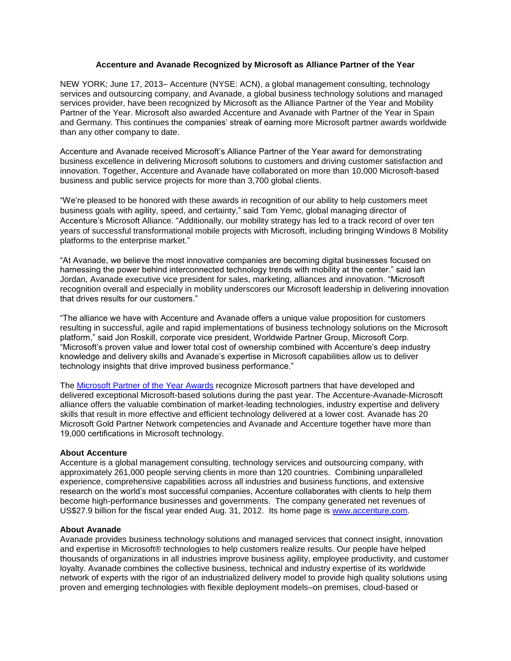## **Accenture and Avanade Recognized by Microsoft as Alliance Partner of the Year**

NEW YORK; June 17, 2013– Accenture (NYSE: ACN), a global management consulting, technology services and outsourcing company, and Avanade, a global business technology solutions and managed services provider, have been recognized by Microsoft as the Alliance Partner of the Year and Mobility Partner of the Year. Microsoft also awarded Accenture and Avanade with Partner of the Year in Spain and Germany. This continues the companies' streak of earning more Microsoft partner awards worldwide than any other company to date.

Accenture and Avanade received Microsoft's Alliance Partner of the Year award for demonstrating business excellence in delivering Microsoft solutions to customers and driving customer satisfaction and innovation. Together, Accenture and Avanade have collaborated on more than 10,000 Microsoft-based business and public service projects for more than 3,700 global clients.

"We're pleased to be honored with these awards in recognition of our ability to help customers meet business goals with agility, speed, and certainty," said Tom Yemc, global managing director of Accenture's Microsoft Alliance. "Additionally, our mobility strategy has led to a track record of over ten years of successful transformational mobile projects with Microsoft, including bringing Windows 8 Mobility platforms to the enterprise market."

"At Avanade, we believe the most innovative companies are becoming digital businesses focused on harnessing the power behind interconnected technology trends with mobility at the center." said Ian Jordan, Avanade executive vice president for sales, marketing, alliances and innovation. "Microsoft recognition overall and especially in mobility underscores our Microsoft leadership in delivering innovation that drives results for our customers."

"The alliance we have with Accenture and Avanade offers a unique value proposition for customers resulting in successful, agile and rapid implementations of business technology solutions on the Microsoft platform," said Jon Roskill, corporate vice president, Worldwide Partner Group, Microsoft Corp. "Microsoft's proven value and lower total cost of ownership combined with Accenture's deep industry knowledge and delivery skills and Avanade's expertise in Microsoft capabilities allow us to deliver technology insights that drive improved business performance."

The [Microsoft Partner of the Year Awards](http://www.digitalwpc.com/Awards/Pages/Home.aspx#fbid=iN4WjdePy4j) recognize Microsoft partners that have developed and delivered exceptional Microsoft-based solutions during the past year. The Accenture-Avanade-Microsoft alliance offers the valuable combination of market-leading technologies, industry expertise and delivery skills that result in more effective and efficient technology delivered at a lower cost. Avanade has 20 Microsoft Gold Partner Network competencies and Avanade and Accenture together have more than 19,000 certifications in Microsoft technology.

## **About Accenture**

Accenture is a global management consulting, technology services and outsourcing company, with approximately 261,000 people serving clients in more than 120 countries. Combining unparalleled experience, comprehensive capabilities across all industries and business functions, and extensive research on the world's most successful companies, Accenture collaborates with clients to help them become high-performance businesses and governments. The company generated net revenues of US\$27.9 billion for the fiscal year ended Aug. 31, 2012. Its home page is [www.accenture.com.](http://www.accenture.com/)

## **About Avanade**

Avanade provides business technology solutions and managed services that connect insight, innovation and expertise in Microsoft® technologies to help customers realize results. Our people have helped thousands of organizations in all industries improve business agility, employee productivity, and customer loyalty. Avanade combines the collective business, technical and industry expertise of its worldwide network of experts with the rigor of an industrialized delivery model to provide high quality solutions using proven and emerging technologies with flexible deployment models–on premises, cloud-based or